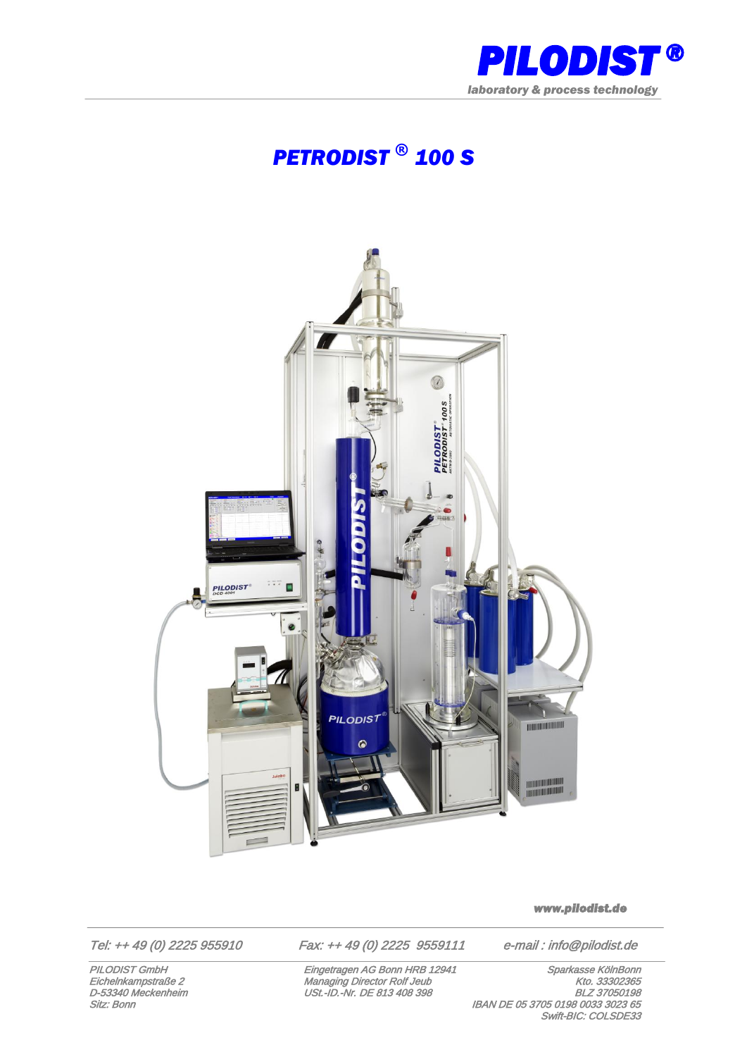

## *PETRODIST ® 100 S*



*www.pilodist.de* 

Tel: ++ 49 (0) 2225 955910 Fax: ++ 49 (0) 2225 9559111 e-mail : info@pilodist.de

PILODIST GmbH Eingetragen AG Bonn HRB 12941 Sparkasse KölnBonn Eichelnkampstraße 2 Managing Director Rolf Jeub Kto. 33302365<br>D-53340 Meckenheim USt.-ID.-Nr. DE 813 408 398 BLZ 37050198 Sitz: Bonn II and the Community of the Community of the Community of the Community of the Community of the Community of the Community of the Community of the Community of the Community of the Community of the Community of Swift-BIC: COLSDE33

**PILODIST GmbH**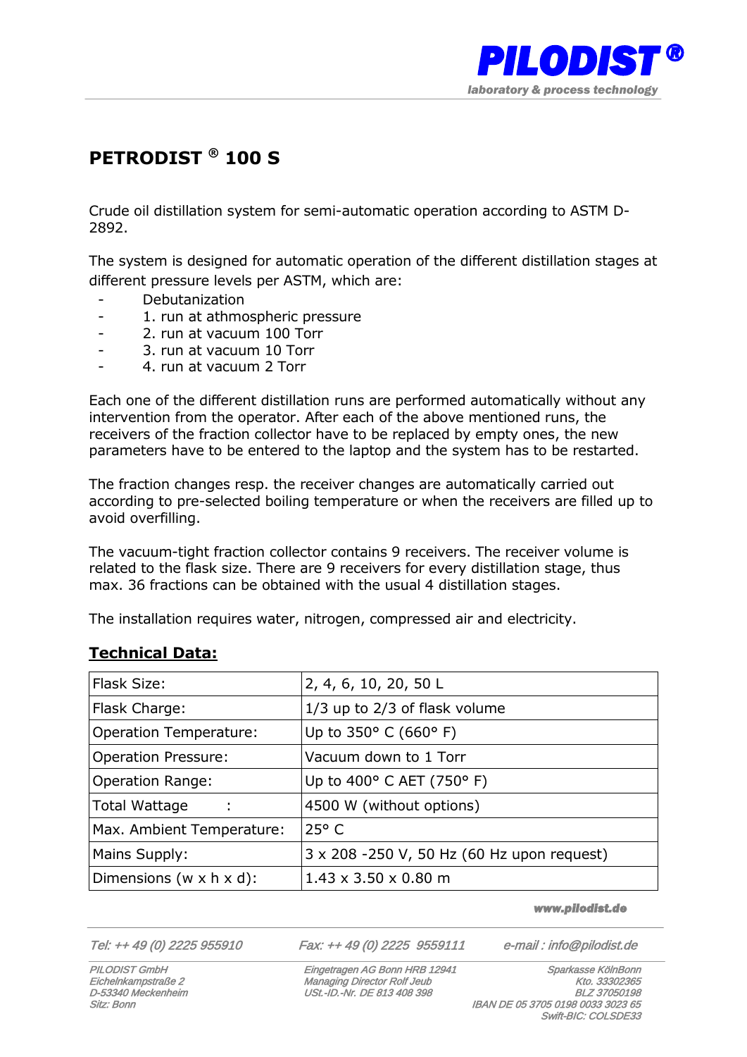

## **PETRODIST ® 100 S**

Crude oil distillation system for semi-automatic operation according to ASTM D-2892.

The system is designed for automatic operation of the different distillation stages at different pressure levels per ASTM, which are:

- Debutanization
- 1. run at athmospheric pressure
- 2. run at vacuum 100 Torr
- 3. run at vacuum 10 Torr
- 4. run at vacuum 2 Torr

Each one of the different distillation runs are performed automatically without any intervention from the operator. After each of the above mentioned runs, the receivers of the fraction collector have to be replaced by empty ones, the new parameters have to be entered to the laptop and the system has to be restarted.

The fraction changes resp. the receiver changes are automatically carried out according to pre-selected boiling temperature or when the receivers are filled up to avoid overfilling.

The vacuum-tight fraction collector contains 9 receivers. The receiver volume is related to the flask size. There are 9 receivers for every distillation stage, thus max. 36 fractions can be obtained with the usual 4 distillation stages.

The installation requires water, nitrogen, compressed air and electricity.

## **Technical Data:**

| Flask Size:                           | 2, 4, 6, 10, 20, 50 L                      |
|---------------------------------------|--------------------------------------------|
| Flask Charge:                         | 1/3 up to 2/3 of flask volume              |
| <b>Operation Temperature:</b>         | Up to $350^{\circ}$ C (660° F)             |
| <b>Operation Pressure:</b>            | Vacuum down to 1 Torr                      |
| <b>Operation Range:</b>               | Up to 400° C AET (750° F)                  |
| <b>Total Wattage</b><br>÷             | 4500 W (without options)                   |
| Max. Ambient Temperature:             | $25^{\circ}$ C                             |
| Mains Supply:                         | 3 x 208 -250 V, 50 Hz (60 Hz upon request) |
| Dimensions ( $w \times h \times d$ ): | $1.43 \times 3.50 \times 0.80$ m           |

*www.pilodist.de* 

Tel: ++ 49 (0) 2225 955910 Fax: ++ 49 (0) 2225 9559111 e-mail : info@pilodist.de